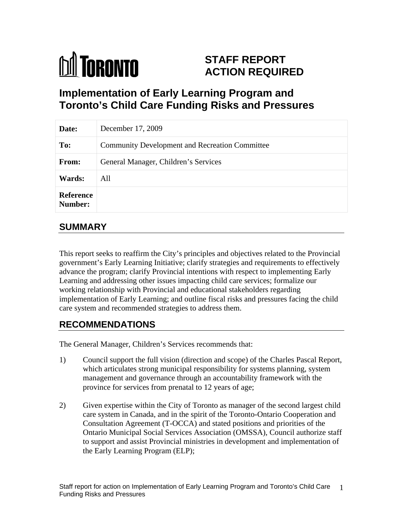

# **STAFF REPORT ACTION REQUIRED**

# **Implementation of Early Learning Program and Toronto's Child Care Funding Risks and Pressures**

| Date:                       | December 17, 2009                              |
|-----------------------------|------------------------------------------------|
| To:                         | Community Development and Recreation Committee |
| From:                       | General Manager, Children's Services           |
| Wards:                      | All                                            |
| Reference<br><b>Number:</b> |                                                |

# **SUMMARY**

This report seeks to reaffirm the City's principles and objectives related to the Provincial government's Early Learning Initiative; clarify strategies and requirements to effectively advance the program; clarify Provincial intentions with respect to implementing Early Learning and addressing other issues impacting child care services; formalize our working relationship with Provincial and educational stakeholders regarding implementation of Early Learning; and outline fiscal risks and pressures facing the child care system and recommended strategies to address them.

# **RECOMMENDATIONS**

The General Manager, Children's Services recommends that:

- 1) Council support the full vision (direction and scope) of the Charles Pascal Report, which articulates strong municipal responsibility for systems planning, system management and governance through an accountability framework with the province for services from prenatal to 12 years of age;
- 2) Given expertise within the City of Toronto as manager of the second largest child care system in Canada, and in the spirit of the Toronto-Ontario Cooperation and Consultation Agreement (T-OCCA) and stated positions and priorities of the Ontario Municipal Social Services Association (OMSSA), Council authorize staff to support and assist Provincial ministries in development and implementation of the Early Learning Program (ELP);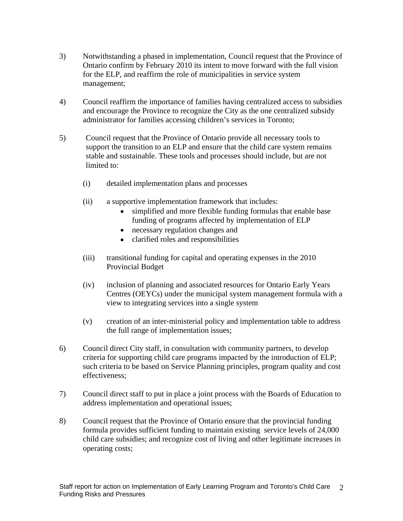- 3) Notwithstanding a phased in implementation, Council request that the Province of Ontario confirm by February 2010 its intent to move forward with the full vision for the ELP, and reaffirm the role of municipalities in service system management; the contract of the contract of the contract of the contract of the contract of the contract of the contract of the contract of the contract of the contract of the contract of the contract of the contract of th
- 4) Council reaffirm the importance of families having centralized access to subsidies and encourage the Province to recognize the City as the one centralized subsidy administrator for families accessing children's services in Toronto;
- 5) Council request that the Province of Ontario provide all necessary tools to support the transition to an ELP and ensure that the child care system remains stable and sustainable. These tools and processes should include, but are not limited to:
	- (i) detailed implementation plans and processes
	- (ii) a supportive implementation framework that includes:
		- simplified and more flexible funding formulas that enable base funding of programs affected by implementation of ELP
		- necessary regulation changes and
		- clarified roles and responsibilities
	- (iii) transitional funding for capital and operating expenses in the 2010 Provincial Budget
	- (iv) inclusion of planning and associated resources for Ontario Early Years Centres (OEYCs) under the municipal system management formula with a view to integrating services into a single system
	- (v) creation of an inter-ministerial policy and implementation table to address the full range of implementation issues;
- 6) Council direct City staff, in consultation with community partners, to develop criteria for supporting child care programs impacted by the introduction of ELP; such criteria to be based on Service Planning principles, program quality and cost effectiveness;
- 7) Council direct staff to put in place a joint process with the Boards of Education to address implementation and operational issues;
- 8) Council request that the Province of Ontario ensure that the provincial funding formula provides sufficient funding to maintain existing service levels of 24,000 child care subsidies; and recognize cost of living and other legitimate increases in operating costs;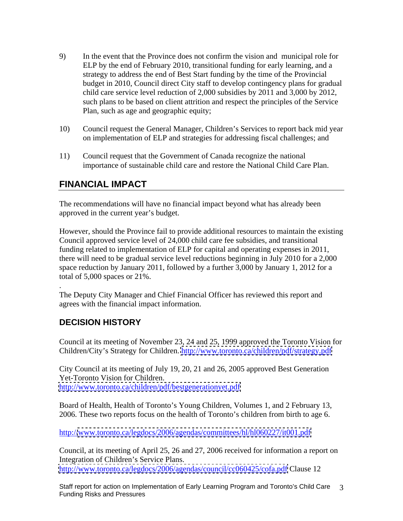- 9) In the event that the Province does not confirm the vision and municipal role for ELP by the end of February 2010, transitional funding for early learning, and a strategy to address the end of Best Start funding by the time of the Provincial budget in 2010, Council direct City staff to develop contingency plans for gradual child care service level reduction of 2,000 subsidies by 2011 and 3,000 by 2012, such plans to be based on client attrition and respect the principles of the Service Plan, such as age and geographic equity;
- 10) Council request the General Manager, Children's Services to report back mid year on implementation of ELP and strategies for addressing fiscal challenges; and
- 11) Council request that the Government of Canada recognize the national importance of sustainable child care and restore the National Child Care Plan.

# **FINANCIAL IMPACT**

The recommendations will have no financial impact beyond what has already been approved in the current year's budget.

However, should the Province fail to provide additional resources to maintain the existing Council approved service level of 24,000 child care fee subsidies, and transitional funding related to implementation of ELP for capital and operating expenses in 2011, there will need to be gradual service level reductions beginning in July 2010 for a 2,000 space reduction by January 2011, followed by a further 3,000 by January 1, 2012 for a total of 5,000 spaces or 21%.

. The Deputy City Manager and Chief Financial Officer has reviewed this report and agrees with the financial impact information.

# **DECISION HISTORY**

Council at its meeting of November 23, 24 and 25, 1999 approved the Toronto Vision for Children/City's Strategy for Children.<http://www.toronto.ca/children/pdf/strategy.pdf>

City Council at its meeting of July 19, 20, 21 and 26, 2005 approved Best Generation Yet-Toronto Vision for Children. <http://www.toronto.ca/children/pdf/bestgenerationyet.pdf>

Board of Health, Health of Toronto's Young Children, Volumes 1, and 2 February 13, 2006. These two reports focus on the health of Toronto's children from birth to age 6.

http:/[/www.toronto.ca/legdocs/2006/agendas/committees/hl/hl060227/it001.pdf](http://www.toronto.ca/legdocs/2006/agendas/committees/hl/hl060227/it001.pdf)

Council, at its meeting of April 25, 26 and 27, 2006 received for information a report on Integration of Children's Service Plans. <http://www.toronto.ca/legdocs/2006/agendas/council/cc060425/cofa.pdf> Clause 12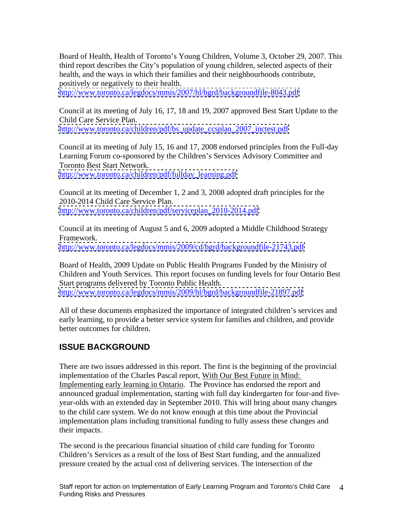Board of Health, Health of Toronto's Young Children, Volume 3, October 29, 2007. This third report describes the City's population of young children, selected aspects of their health, and the ways in which their families and their neighbourhoods contribute, positively or negatively to their health.

<http://www.toronto.ca/legdocs/mmis/2007/hl/bgrd/backgroundfile-8043.pdf>

Council at its meeting of July 16, 17, 18 and 19, 2007 approved Best Start Update to the Child Care Service Plan. [http://www.toronto.ca/children/pdf/bs\\_update\\_ccsplan\\_2007\\_inctest.pdf](http://www.toronto.ca/children/pdf/bs_update_ccsplan_2007_inctest.pdf)

Council at its meeting of July 15, 16 and 17, 2008 endorsed principles from the Full-day Learning Forum co-sponsored by the Children's Services Advisory Committee and Toronto Best Start Network.

[http://www.toronto.ca/children/pdf/fullday\\_learning.pdf](http://www.toronto.ca/children/pdf/fullday_learning.pdf)

Council at its meeting of December 1, 2 and 3, 2008 adopted draft principles for the 2010-2014 Child Care Service Plan. [http://www.toronto.ca/children/pdf/serviceplan\\_2010-2014.pdf](http://www.toronto.ca/children/pdf/serviceplan_2010-2014.pdf)

Council at its meeting of August 5 and 6, 2009 adopted a Middle Childhood Strategy Framework. <http://www.toronto.ca/legdocs/mmis/2009/cd/bgrd/backgroundfile-21743.pdf>

Board of Health, 2009 Update on Public Health Programs Funded by the Ministry of Children and Youth Services. This report focuses on funding levels for four Ontario Best Start programs delivered by Toronto Public Health. <http://www.toronto.ca/legdocs/mmis/2009/hl/bgrd/backgroundfile-21897.pdf>

All of these documents emphasized the importance of integrated children's services and early learning, to provide a better service system for families and children, and provide better outcomes for children.

# **ISSUE BACKGROUND**

There are two issues addressed in this report. The first is the beginning of the provincial implementation of the Charles Pascal report, With Our Best Future in Mind: Implementing early learning in Ontario. The Province has endorsed the report and announced gradual implementation, starting with full day kindergarten for four-and five year-olds with an extended day in September 2010. This will bring about many changes to the child care system. We do not know enough at this time about the Provincial implementation plans including transitional funding to fully assess these changes and their impacts.

The second is the precarious financial situation of child care funding for Toronto Children's Services as a result of the loss of Best Start funding, and the annualized pressure created by the actual cost of delivering services. The intersection of the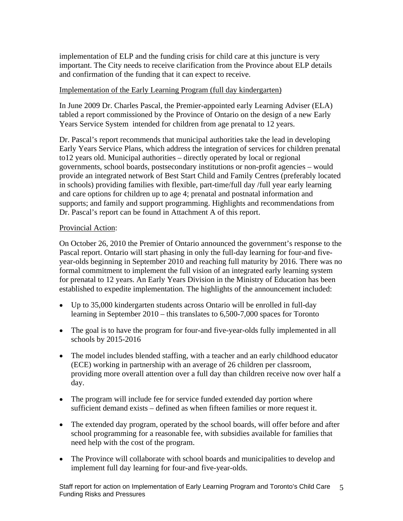implementation of ELP and the funding crisis for child care at this juncture is very important. The City needs to receive clarification from the Province about ELP details and confirmation of the funding that it can expect to receive.

### Implementation of the Early Learning Program (full day kindergarten)

In June 2009 Dr. Charles Pascal, the Premier-appointed early Learning Adviser (ELA) tabled a report commissioned by the Province of Ontario on the design of a new Early Years Service System intended for children from age prenatal to 12 years.

Dr. Pascal's report recommends that municipal authorities take the lead in developing Early Years Service Plans, which address the integration of services for children prenatal to12 years old. Municipal authorities – directly operated by local or regional governments, school boards, postsecondary institutions or non-profit agencies – would provide an integrated network of Best Start Child and Family Centres (preferably located in schools) providing families with flexible, part-time/full day /full year early learning and care options for children up to age 4; prenatal and postnatal information and supports; and family and support programming. Highlights and recommendations from Dr. Pascal's report can be found in Attachment A of this report.

### Provincial Action:

On October 26, 2010 the Premier of Ontario announced the government's response to the Pascal report. Ontario will start phasing in only the full-day learning for four-and five year-olds beginning in September 2010 and reaching full maturity by 2016. There was no formal commitment to implement the full vision of an integrated early learning system for prenatal to 12 years. An Early Years Division in the Ministry of Education has been established to expedite implementation. The highlights of the announcement included:

- Up to 35,000 kindergarten students across Ontario will be enrolled in full-day learning in September 2010 – this translates to 6,500-7,000 spaces for Toronto
- The goal is to have the program for four-and five-year-olds fully implemented in all schools by 2015-2016
- The model includes blended staffing, with a teacher and an early childhood educator (ECE) working in partnership with an average of 26 children per classroom, providing more overall attention over a full day than children receive now over half a day.
- The program will include fee for service funded extended day portion where sufficient demand exists – defined as when fifteen families or more request it.
- The extended day program, operated by the school boards, will offer before and after school programming for a reasonable fee, with subsidies available for families that need help with the cost of the program.
- The Province will collaborate with school boards and municipalities to develop and implement full day learning for four-and five-year-olds.

Staff report for action on Implementation of Early Learning Program and Toronto's Child Care Funding Risks and Pressures 5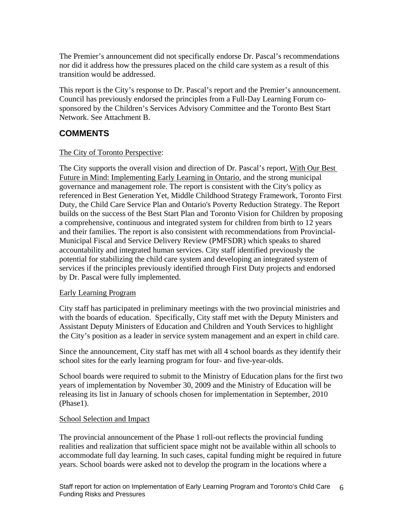The Premier's announcement did not specifically endorse Dr. Pascal's recommendations nor did it address how the pressures placed on the child care system as a result of this transition would be addressed.

This report is the City's response to Dr. Pascal's report and the Premier's announcement. Council has previously endorsed the principles from a Full-Day Learning Forum co sponsored by the Children's Services Advisory Committee and the Toronto Best Start Network. See Attachment B.

# **COMMENTS**

### The City of Toronto Perspective:

The City supports the overall vision and direction of Dr. Pascal's report, With Our Best Future in Mind: Implementing Early Learning in Ontario*,* and the strong municipal governance and management role. The report is consistent with the City's policy as referenced in Best Generation Yet, Middle Childhood Strategy Framework, Toronto First Duty, the Child Care Service Plan and Ontario's Poverty Reduction Strategy. The Report builds on the success of the Best Start Plan and Toronto Vision for Children by proposing a comprehensive, continuous and integrated system for children from birth to 12 years and their families. The report is also consistent with recommendations from Provincial- Municipal Fiscal and Service Delivery Review (PMFSDR) which speaks to shared accountability and integrated human services. City staff identified previously the potential for stabilizing the child care system and developing an integrated system of services if the principles previously identified through First Duty projects and endorsed by Dr. Pascal were fully implemented.

## Early Learning Program

City staff has participated in preliminary meetings with the two provincial ministries and with the boards of education. Specifically, City staff met with the Deputy Ministers and Assistant Deputy Ministers of Education and Children and Youth Services to highlight the City's position as a leader in service system management and an expert in child care.

Since the announcement, City staff has met with all 4 school boards as they identify their school sites for the early learning program for four- and five-year-olds.

School boards were required to submit to the Ministry of Education plans for the first two years of implementation by November 30, 2009 and the Ministry of Education will be releasing its list in January of schools chosen for implementation in September, 2010 (Phase1).<br>School Selection and Impact

The provincial announcement of the Phase 1 roll-out reflects the provincial funding realities and realization that sufficient space might not be available within all schools to accommodate full day learning. In such cases, capital funding might be required in future years. School boards were asked not to develop the program in the locations where a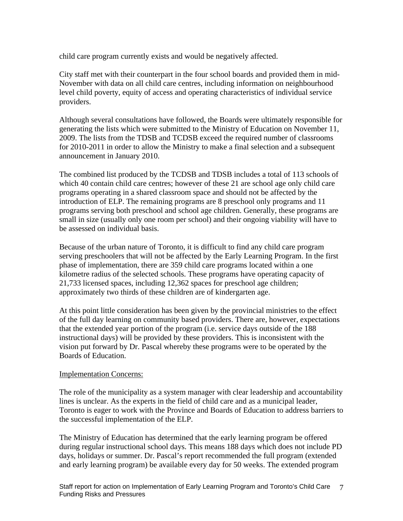child care program currently exists and would be negatively affected.

City staff met with their counterpart in the four school boards and provided them in mid- November with data on all child care centres, including information on neighbourhood level child poverty, equity of access and operating characteristics of individual service providers.

Although several consultations have followed, the Boards were ultimately responsible for generating the lists which were submitted to the Ministry of Education on November 11, 2009. The lists from the TDSB and TCDSB exceed the required number of classrooms for 2010-2011 in order to allow the Ministry to make a final selection and a subsequent announcement in January 2010.

The combined list produced by the TCDSB and TDSB includes a total of 113 schools of which 40 contain child care centres; however of these 21 are school age only child care programs operating in a shared classroom space and should not be affected by the introduction of ELP. The remaining programs are 8 preschool only programs and 11 programs serving both preschool and school age children. Generally, these programs are small in size (usually only one room per school) and their ongoing viability will have to be assessed on individual basis.

Because of the urban nature of Toronto, it is difficult to find any child care program serving preschoolers that will not be affected by the Early Learning Program. In the first phase of implementation, there are 359 child care programs located within a one kilometre radius of the selected schools. These programs have operating capacity of 21,733 licensed spaces, including 12,362 spaces for preschool age children; approximately two thirds of these children are of kindergarten age.

At this point little consideration has been given by the provincial ministries to the effect of the full day learning on community based providers. There are, however, expectations that the extended year portion of the program (i.e. service days outside of the 188 instructional days) will be provided by these providers. This is inconsistent with the vision put forward by Dr. Pascal whereby these programs were to be operated by the Boards of Education.

#### Implementation Concerns:

The role of the municipality as a system manager with clear leadership and accountability lines is unclear. As the experts in the field of child care and as a municipal leader, Toronto is eager to work with the Province and Boards of Education to address barriers to the successful implementation of the ELP.

The Ministry of Education has determined that the early learning program be offered during regular instructional school days. This means 188 days which does not include PD days, holidays or summer. Dr. Pascal's report recommended the full program (extended and early learning program) be available every day for 50 weeks. The extended program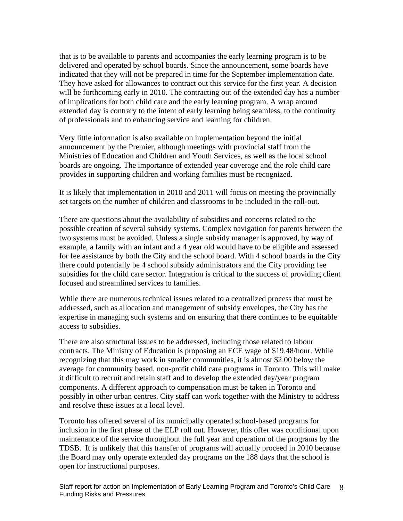that is to be available to parents and accompanies the early learning program is to be delivered and operated by school boards. Since the announcement, some boards have indicated that they will not be prepared in time for the September implementation date. They have asked for allowances to contract out this service for the first year. A decision will be forthcoming early in 2010. The contracting out of the extended day has a number of implications for both child care and the early learning program. A wrap around extended day is contrary to the intent of early learning being seamless, to the continuity of professionals and to enhancing service and learning for children.

Very little information is also available on implementation beyond the initial announcement by the Premier, although meetings with provincial staff from the Ministries of Education and Children and Youth Services, as well as the local school boards are ongoing. The importance of extended year coverage and the role child care provides in supporting children and working families must be recognized.

It is likely that implementation in 2010 and 2011 will focus on meeting the provincially set targets on the number of children and classrooms to be included in the roll-out.

There are questions about the availability of subsidies and concerns related to the possible creation of several subsidy systems. Complex navigation for parents between the two systems must be avoided. Unless a single subsidy manager is approved, by way of example, a family with an infant and a 4 year old would have to be eligible and assessed for fee assistance by both the City and the school board. With 4 school boards in the City there could potentially be 4 school subsidy administrators and the City providing fee subsidies for the child care sector. Integration is critical to the success of providing client focused and streamlined services to families.

While there are numerous technical issues related to a centralized process that must be addressed, such as allocation and management of subsidy envelopes, the City has the expertise in managing such systems and on ensuring that there continues to be equitable access to subsidies.

There are also structural issues to be addressed, including those related to labour contracts. The Ministry of Education is proposing an ECE wage of \$19.48/hour. While recognizing that this may work in smaller communities, it is almost \$2.00 below the average for community based, non-profit child care programs in Toronto. This will make it difficult to recruit and retain staff and to develop the extended day/year program components. A different approach to compensation must be taken in Toronto and possibly in other urban centres. City staff can work together with the Ministry to address and resolve these issues at a local level. Toronto has offered several of its municipally operated school-based programs for

inclusion in the first phase of the ELP roll out. However, this offer was conditional upon maintenance of the service throughout the full year and operation of the programs by the TDSB. It is unlikely that this transfer of programs will actually proceed in 2010 because the Board may only operate extended day programs on the 188 days that the school is open for instructional purposes.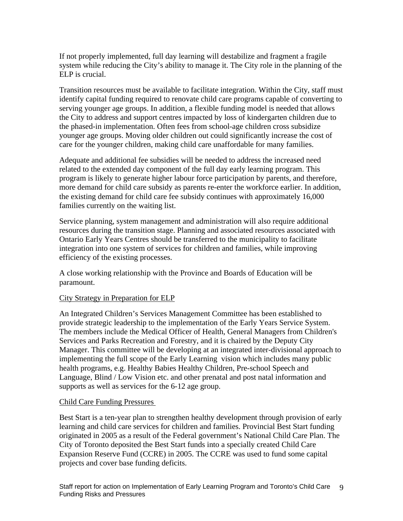If not properly implemented, full day learning will destabilize and fragment a fragile system while reducing the City's ability to manage it. The City role in the planning of the ELP is crucial.

Transition resources must be available to facilitate integration. Within the City, staff must identify capital funding required to renovate child care programs capable of converting to serving younger age groups. In addition, a flexible funding model is needed that allows the City to address and support centres impacted by loss of kindergarten children due to the phased-in implementation. Often fees from school-age children cross subsidize younger age groups. Moving older children out could significantly increase the cost of care for the younger children, making child care unaffordable for many families.

Adequate and additional fee subsidies will be needed to address the increased need related to the extended day component of the full day early learning program. This program is likely to generate higher labour force participation by parents, and therefore, more demand for child care subsidy as parents re-enter the workforce earlier. In addition, the existing demand for child care fee subsidy continues with approximately 16,000 families currently on the waiting list.

Service planning, system management and administration will also require additional resources during the transition stage. Planning and associated resources associated with Ontario Early Years Centres should be transferred to the municipality to facilitate integration into one system of services for children and families, while improving efficiency of the existing processes.

A close working relationship with the Province and Boards of Education will be paramount.

#### City Strategy in Preparation for ELP

An Integrated Children's Services Management Committee has been established to provide strategic leadership to the implementation of the Early Years Service System. The members include the Medical Officer of Health, General Managers from Children's Services and Parks Recreation and Forestry, and it is chaired by the Deputy City Manager. This committee will be developing at an integrated inter-divisional approach to implementing the full scope of the Early Learning vision which includes many public health programs, e.g. Healthy Babies Healthy Children, Pre-school Speech and Language, Blind / Low Vision etc. and other prenatal and post natal information and supports as well as services for the 6-12 age group.

#### Child Care Funding Pressures

Best Start is a ten-year plan to strengthen healthy development through provision of early learning and child care services for children and families. Provincial Best Start funding originated in 2005 as a result of the Federal government's National Child Care Plan. The City of Toronto deposited the Best Start funds into a specially created Child Care Expansion Reserve Fund (CCRE) in 2005. The CCRE was used to fund some capital projects and cover base funding deficits.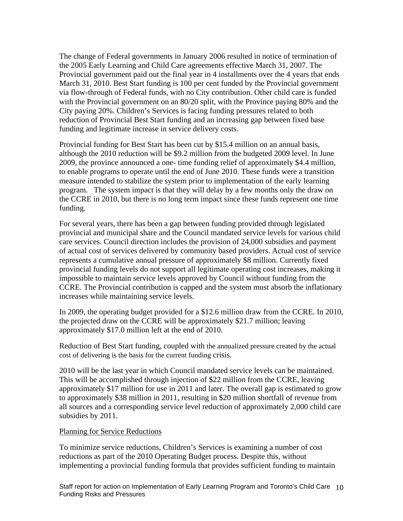The change of Federal governments in January 2006 resulted in notice of termination of the 2005 Early Learning and Child Care agreements effective March 31, 2007. The Provincial government paid out the final year in 4 installments over the 4 years that ends March 31, 2010. Best Start funding is 100 per cent funded by the Provincial government via flow-through of Federal funds, with no City contribution. Other child care is funded with the Provincial government on an 80/20 split, with the Province paying 80% and the City paying 20%. Children's Services is facing funding pressures related to both reduction of Provincial Best Start funding and an increasing gap between fixed base funding and legitimate increase in service delivery costs.

Provincial funding for Best Start has been cut by \$15.4 million on an annual basis, although the 2010 reduction will be \$9.2 million from the budgeted 2009 level. In June 2009, the province announced a one- time funding relief of approximately \$4.4 million, to enable programs to operate until the end of June 2010. These funds were a transition measure intended to stabilize the system prior to implementation of the early learning program. The system impact is that they will delay by a few months only the draw on the CCRE in 2010, but there is no long term impact since these funds represent one time

funding.<br>For several years, there has been a gap between funding provided through legislated provincial and municipal share and the Council mandated service levels for various child care services. Council direction includes the provision of 24,000 subsidies and payment of actual cost of services delivered by community based providers. Actual cost of service represents a cumulative annual pressure of approximately \$8 million. Currently fixed provincial funding levels do not support all legitimate operating cost increases, making it impossible to maintain service levels approved by Council without funding from the CCRE. The Provincial contribution is capped and the system must absorb the inflationary increases while maintaining service levels.

In 2009, the operating budget provided for a \$12.6 million draw from the CCRE. In 2010, the projected draw on the CCRE will be approximately \$21.7 million; leaving approximately \$17.0 million left at the end of 2010.

Reduction of Best Start funding, coupled with the annualized pressure created by the actual cost of delivering is the basis for the current funding crisis.

2010 will be the last year in which Council mandated service levels can be maintained. This will be accomplished through injection of \$22 million from the CCRE, leaving approximately \$17 million for use in 2011 and later. The overall gap is estimated to grow to approximately \$38 million in 2011, resulting in \$20 million shortfall of revenue from all sources and a corresponding service level reduction of approximately 2,000 child care subsidies by 2011.<br>Planning for Service Reductions

To minimize service reductions, Children's Services is examining a number of cost reductions as part of the 2010 Operating Budget process. Despite this, without implementing a provincial funding formula that provides sufficient funding to maintain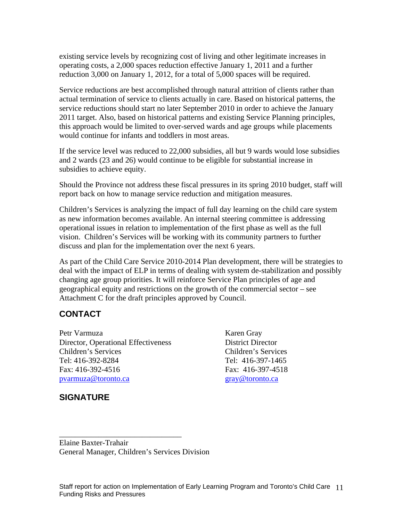existing service levels by recognizing cost of living and other legitimate increases in operating costs, a 2,000 spaces reduction effective January 1, 2011 and a further reduction 3,000 on January 1, 2012, for a total of 5,000 spaces will be required.

Service reductions are best accomplished through natural attrition of clients rather than actual termination of service to clients actually in care. Based on historical patterns, the service reductions should start no later September 2010 in order to achieve the January 2011 target. Also, based on historical patterns and existing Service Planning principles, this approach would be limited to over-served wards and age groups while placements would continue for infants and toddlers in most areas.

If the service level was reduced to 22,000 subsidies, all but 9 wards would lose subsidies and 2 wards (23 and 26) would continue to be eligible for substantial increase in subsidies to achieve equity.

Should the Province not address these fiscal pressures in its spring 2010 budget, staff will report back on how to manage service reduction and mitigation measures.

Children's Services is analyzing the impact of full day learning on the child care system as new information becomes available. An internal steering committee is addressing operational issues in relation to implementation of the first phase as well as the full vision. Children's Services will be working with its community partners to further discuss and plan for the implementation over the next 6 years.

As part of the Child Care Service 2010-2014 Plan development, there will be strategies to deal with the impact of ELP in terms of dealing with system de-stabilization and possibly changing age group priorities. It will reinforce Service Plan principles of age and geographical equity and restrictions on the growth of the commercial sector – see Attachment C for the draft principles approved by Council.

# **CONTACT**

Petr Varmuza **Karen Gray** Director, Operational Effectiveness District Director Children's Services Children's Services Tel: 416-392-8284 Tel: 416-397-1465 Fax: 416-392-4516 Fax: 416-397-4518 pvarmuza@toronto.ca expansion and contact the gray@toronto.ca gray@toronto.ca

 $\overline{\phantom{a}}$  , we can assume that the contract of  $\overline{\phantom{a}}$  , we can assume that the contract of  $\overline{\phantom{a}}$ 

# **SIGNATURE**

Elaine Baxter-Trahair General Manager, Children's Services Division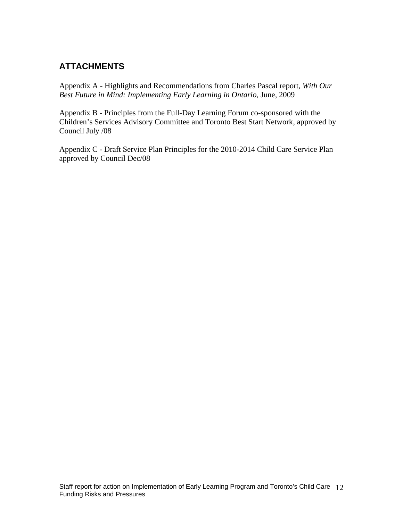# **ATTACHMENTS**

Appendix A - Highlights and Recommendations from Charles Pascal report, *With Our Best Future in Mind: Implementing Early Learning in Ontario*, June, 2009

Appendix B - Principles from the Full-Day Learning Forum co-sponsored with the Children's Services Advisory Committee and Toronto Best Start Network, approved by Council July /08

Appendix C - Draft Service Plan Principles for the 2010-2014 Child Care Service Plan approved by Council Dec/08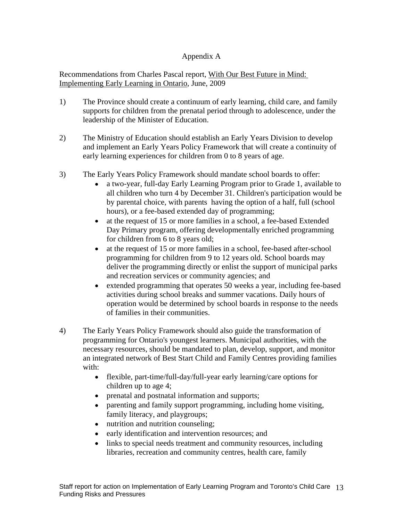## Appendix A

Recommendations from Charles Pascal report, With Our Best Future in Mind: Implementing Early Learning in Ontario, June, 2009

- 1) The Province should create a continuum of early learning, child care, and family supports for children from the prenatal period through to adolescence, under the leadership of the Minister of Education.
- 2) The Ministry of Education should establish an Early Years Division to develop and implement an Early Years Policy Framework that will create a continuity of early learning experiences for children from 0 to 8 years of age.
- 3) The Early Years Policy Framework should mandate school boards to offer:
	- a two-year, full-day Early Learning Program prior to Grade 1, available to all children who turn 4 by December 31. Children's participation would be by parental choice, with parents having the option of a half, full (school hours), or a fee-based extended day of programming;
	- $\bullet$ at the request of 15 or more families in a school, a fee-based Extended Day Primary program, offering developmentally enriched programming for children from 6 to 8 years old;
	- at the request of 15 or more families in a school, fee-based after-school  $\bullet$ programming for children from 9 to 12 years old. School boards may deliver the programming directly or enlist the support of municipal parks and recreation services or community agencies; and
	- extended programming that operates 50 weeks a year, including fee-based  $\bullet$ activities during school breaks and summer vacations. Daily hours of operation would be determined by school boards in response to the needs of families in their communities.
- 4) The Early Years Policy Framework should also guide the transformation of programming for Ontario's youngest learners. Municipal authorities, with the necessary resources, should be mandated to plan, develop, support, and monitor an integrated network of Best Start Child and Family Centres providing families with: with:  $\frac{1}{2}$  with:  $\frac{1}{2}$  with:  $\frac{1}{2}$  with:  $\frac{1}{2}$  with:  $\frac{1}{2}$  with:  $\frac{1}{2}$  with:  $\frac{1}{2}$  with:  $\frac{1}{2}$  with:  $\frac{1}{2}$  with:  $\frac{1}{2}$  with:  $\frac{1}{2}$  with:  $\frac{1}{2}$  with:  $\frac{1}{2}$  with:  $\$ 
	- flexible, part-time/full-day/full-year early learning/care options for children up to age 4;
	- prenatal and postnatal information and supports;
	- $\bullet$ parenting and family support programming, including home visiting, family literacy, and playgroups;
	- nutrition and nutrition counseling;  $\bullet$
	- $\bullet$ early identification and intervention resources; and
	- links to special needs treatment and community resources, including  $\bullet$ libraries, recreation and community centres, health care, family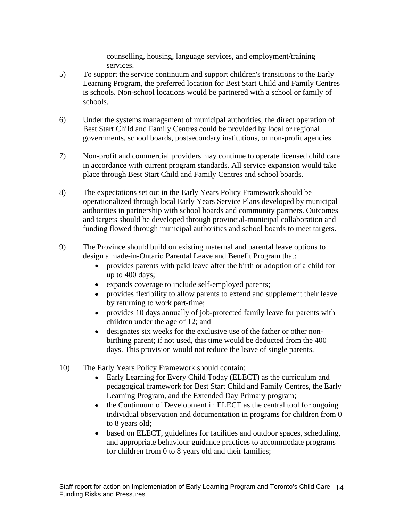counselling, housing, language services, and employment/training services.

- 5) To support the service continuum and support children's transitions to the Early Learning Program, the preferred location for Best Start Child and Family Centres is schools. Non-school locations would be partnered with a school or family of schools.
- 6) Under the systems management of municipal authorities, the direct operation of Best Start Child and Family Centres could be provided by local or regional governments, school boards, postsecondary institutions, or non-profit agencies.
- 7) Non-profit and commercial providers may continue to operate licensed child care in accordance with current program standards. All service expansion would take place through Best Start Child and Family Centres and school boards.
- 8) The expectations set out in the Early Years Policy Framework should be operationalized through local Early Years Service Plans developed by municipal authorities in partnership with school boards and community partners. Outcomes and targets should be developed through provincial-municipal collaboration and funding flowed through municipal authorities and school boards to meet targets.
- 9) The Province should build on existing maternal and parental leave options to design a made-in-Ontario Parental Leave and Benefit Program that:
	- provides parents with paid leave after the birth or adoption of a child for  $\bullet$ up to 400 days;
	- expands coverage to include self-employed parents;
	- provides flexibility to allow parents to extend and supplement their leave by returning to work part-time;
	- provides 10 days annually of job-protected family leave for parents with  $\bullet$ children under the age of 12; and
	- designates six weeks for the exclusive use of the father or other non-  $\bullet$ birthing parent; if not used, this time would be deducted from the 400 days. This provision would not reduce the leave of single parents.
- 10) The Early Years Policy Framework should contain:
	- Early Learning for Every Child Today (ELECT) as the curriculum and  $\bullet$ pedagogical framework for Best Start Child and Family Centres, the Early Learning Program, and the Extended Day Primary program;
	- $\bullet$ the Continuum of Development in ELECT as the central tool for ongoing individual observation and documentation in programs for children from 0 to 8 years old;
	- based on ELECT, guidelines for facilities and outdoor spaces, scheduling,  $\bullet$ and appropriate behaviour guidance practices to accommodate programs for children from 0 to 8 years old and their families;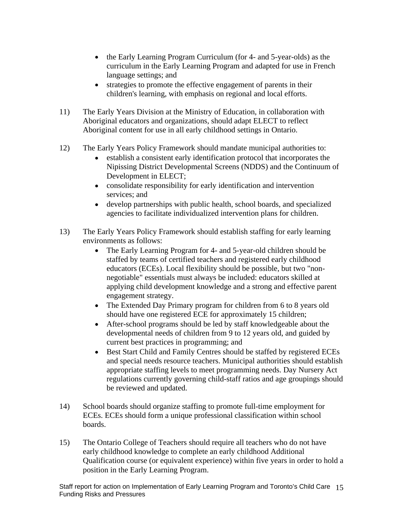- the Early Learning Program Curriculum (for 4- and 5-year-olds) as the  $\bullet$ curriculum in the Early Learning Program and adapted for use in French language settings; and
- strategies to promote the effective engagement of parents in their  $\bullet$ children's learning, with emphasis on regional and local efforts.
- 11) The Early Years Division at the Ministry of Education, in collaboration with Aboriginal educators and organizations, should adapt ELECT to reflect Aboriginal content for use in all early childhood settings in Ontario.
- 12) The Early Years Policy Framework should mandate municipal authorities to:
	- establish a consistent early identification protocol that incorporates the Nipissing District Developmental Screens (NDDS) and the Continuum of Development in ELECT;
	- consolidate responsibility for early identification and intervention services; and services are services and services are services and services are services and services are services and services are services and services are services are services and services are services and services are
	- develop partnerships with public health, school boards, and specialized agencies to facilitate individualized intervention plans for children.
- 13) The Early Years Policy Framework should establish staffing for early learning environments as follows:
	- The Early Learning Program for 4- and 5-year-old children should be staffed by teams of certified teachers and registered early childhood educators (ECEs). Local flexibility should be possible, but two "non negotiable" essentials must always be included: educators skilled at applying child development knowledge and a strong and effective parent engagement strategy.
	- The Extended Day Primary program for children from 6 to 8 years old should have one registered ECE for approximately 15 children;
	- After-school programs should be led by staff knowledgeable about the developmental needs of children from 9 to 12 years old, and guided by current best practices in programming; and
	- Best Start Child and Family Centres should be staffed by registered ECEs  $\bullet$ and special needs resource teachers. Municipal authorities should establish appropriate staffing levels to meet programming needs. Day Nursery Act regulations currently governing child-staff ratios and age groupings should be reviewed and updated.
- 14) School boards should organize staffing to promote full-time employment for ECEs. ECEs should form a unique professional classification within school boards.
- 15) The Ontario College of Teachers should require all teachers who do not have early childhood knowledge to complete an early childhood Additional Qualification course (or equivalent experience) within five years in order to hold a position in the Early Learning Program.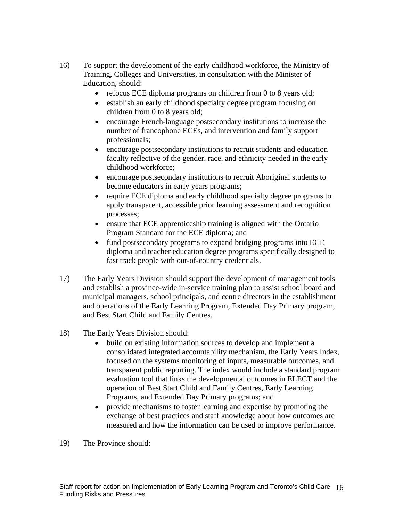- 16) To support the development of the early childhood workforce, the Ministry of Training, Colleges and Universities, in consultation with the Minister of Education, should:
	- refocus ECE diploma programs on children from 0 to 8 years old;
	- establish an early childhood specialty degree program focusing on  $\bullet$ children from 0 to 8 years old;
	- $\bullet$ encourage French-language postsecondary institutions to increase the number of francophone ECEs, and intervention and family support professionals;
	- encourage postsecondary institutions to recruit students and education  $\bullet$ faculty reflective of the gender, race, and ethnicity needed in the early
	- childhood workforce; encourage postsecondary institutions to recruit Aboriginal students to  $\bullet$ become educators in early years programs;
	- require ECE diploma and early childhood specialty degree programs to  $\bullet$ apply transparent, accessible prior learning assessment and recognition processes;
	- ensure that ECE apprenticeship training is aligned with the Ontario Program Standard for the ECE diploma; and
	- fund postsecondary programs to expand bridging programs into ECE diploma and teacher education degree programs specifically designed to fast track people with out-of-country credentials.
- 17) The Early Years Division should support the development of management tools and establish a province-wide in-service training plan to assist school board and municipal managers, school principals, and centre directors in the establishment and operations of the Early Learning Program, Extended Day Primary program, and Best Start Child and Family Centres.
- 18) The Early Years Division should:
	- build on existing information sources to develop and implement a  $\bullet$ consolidated integrated accountability mechanism, the Early Years Index, focused on the systems monitoring of inputs, measurable outcomes, and transparent public reporting. The index would include a standard program evaluation tool that links the developmental outcomes in ELECT and the operation of Best Start Child and Family Centres, Early Learning Programs, and Extended Day Primary programs; and
	- provide mechanisms to foster learning and expertise by promoting the  $\bullet$ exchange of best practices and staff knowledge about how outcomes are measured and how the information can be used to improve performance.
- 19) The Province should: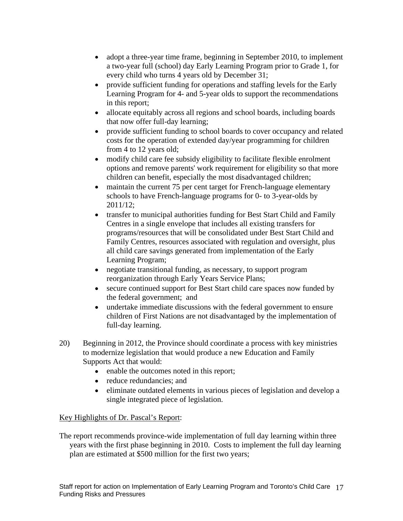- adopt a three-year time frame, beginning in September 2010, to implement  $\bullet$ a two-year full (school) day Early Learning Program prior to Grade 1, for every child who turns 4 years old by December 31;
- provide sufficient funding for operations and staffing levels for the Early  $\bullet$ Learning Program for 4- and 5-year olds to support the recommendations in this report;
- allocate equitably across all regions and school boards, including boards  $\bullet$ that now offer full-day learning;
- provide sufficient funding to school boards to cover occupancy and related costs for the operation of extended day/year programming for children from 4 to 12 years old;
- modify child care fee subsidy eligibility to facilitate flexible enrolment  $\bullet$ options and remove parents' work requirement for eligibility so that more children can benefit, especially the most disadvantaged children;
- $\bullet$ maintain the current 75 per cent target for French-language elementary schools to have French-language programs for 0- to 3-year-olds by 2011/12;
- transfer to municipal authorities funding for Best Start Child and Family Centres in a single envelope that includes all existing transfers for programs/resources that will be consolidated under Best Start Child and Family Centres, resources associated with regulation and oversight, plus all child care savings generated from implementation of the Early Learning Program;
- negotiate transitional funding, as necessary, to support program reorganization through Early Years Service Plans;
- $\bullet$ secure continued support for Best Start child care spaces now funded by the federal government; and
- $\bullet$ undertake immediate discussions with the federal government to ensure children of First Nations are not disadvantaged by the implementation of full-day learning.
- 20) Beginning in 2012, the Province should coordinate a process with key ministries to modernize legislation that would produce a new Education and Family Supports Act that would:
	- enable the outcomes noted in this report;
	- reduce redundancies; and **reduce redundancies** and  $\alpha$
	- eliminate outdated elements in various pieces of legislation and develop a single integrated piece of legislation.

## Key Highlights of Dr. Pascal's Report:

The report recommends province-wide implementation of full day learning within three years with the first phase beginning in 2010. Costs to implement the full day learning plan are estimated at \$500 million for the first two years;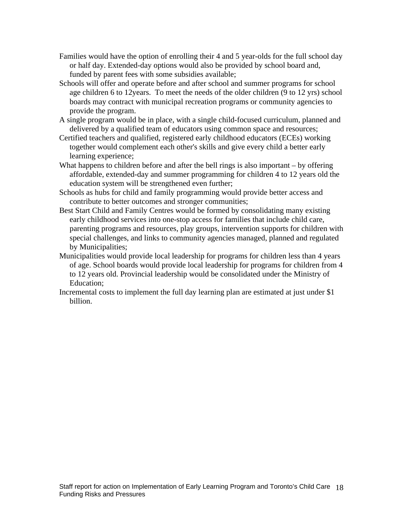- Families would have the option of enrolling their 4 and 5 year-olds for the full school day or half day. Extended-day options would also be provided by school board and, funded by parent fees with some subsidies available;
- Schools will offer and operate before and after school and summer programs for school age children 6 to 12years. To meet the needs of the older children (9 to 12 yrs) school boards may contract with municipal recreation programs or community agencies to provide the program.
- A single program would be in place, with a single child-focused curriculum, planned and delivered by a qualified team of educators using common space and resources;
- Certified teachers and qualified, registered early childhood educators (ECEs) working together would complement each other's skills and give every child a better early learning experience;
- What happens to children before and after the bell rings is also important by offering affordable, extended-day and summer programming for children 4 to 12 years old the education system will be strengthened even further;
- Schools as hubs for child and family programming would provide better access and contribute to better outcomes and stronger communities;
- Best Start Child and Family Centres would be formed by consolidating many existing early childhood services into one-stop access for families that include child care, parenting programs and resources, play groups, intervention supports for children with special challenges, and links to community agencies managed, planned and regulated by Municipalities;
- Municipalities would provide local leadership for programs for children less than 4 years of age. School boards would provide local leadership for programs for children from 4 to 12 years old. Provincial leadership would be consolidated under the Ministry of Education; example to the contract of the contract of the contract of the contract of the contract of the contract of the contract of the contract of the contract of the contract of the contract of the contract of the cont
- Incremental costs to implement the full day learning plan are estimated at just under \$1 billion.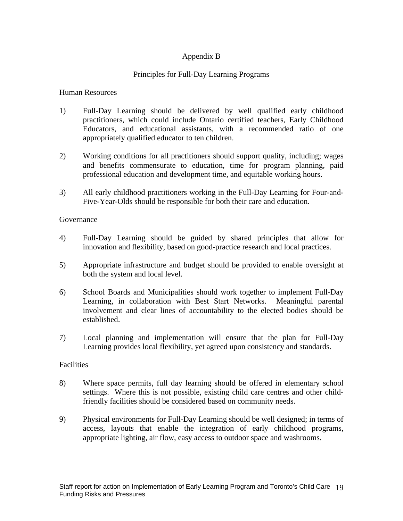# Appendix B

## Principles for Full-Day Learning Programs

## Human Resources

- 1) Full-Day Learning should be delivered by well qualified early childhood practitioners, which could include Ontario certified teachers, Early Childhood Educators, and educational assistants, with a recommended ratio of one appropriately qualified educator to ten children.
- 2) Working conditions for all practitioners should support quality, including; wages and benefits commensurate to education, time for program planning, paid professional education and development time, and equitable working hours.
- 3) All early childhood practitioners working in the Full-Day Learning for Four-and- Five-Year-Olds should be responsible for both their care and education.

## Governance **Governance**

- 4) Full-Day Learning should be guided by shared principles that allow for innovation and flexibility, based on good-practice research and local practices.
- 5) Appropriate infrastructure and budget should be provided to enable oversight at both the system and local level.
- 6) School Boards and Municipalities should work together to implement Full-Day Learning, in collaboration with Best Start Networks. Meaningful parental involvement and clear lines of accountability to the elected bodies should be established.
- 7) Local planning and implementation will ensure that the plan for Full-Day Learning provides local flexibility, yet agreed upon consistency and standards.

## Facilities **Facilities**

- 8) Where space permits, full day learning should be offered in elementary school settings. Where this is not possible, existing child care centres and other childfriendly facilities should be considered based on community needs.
- 9) Physical environments for Full-Day Learning should be well designed; in terms of access, layouts that enable the integration of early childhood programs, appropriate lighting, air flow, easy access to outdoor space and washrooms.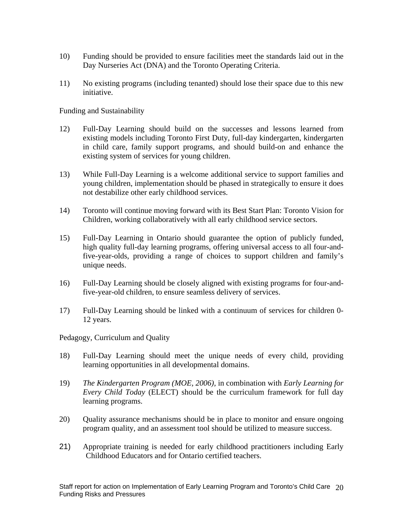- 10) Funding should be provided to ensure facilities meet the standards laid out in the Day Nurseries Act (DNA) and the Toronto Operating Criteria.
- 11) No existing programs (including tenanted) should lose their space due to this new initiative.

Funding and Sustainability

- 12) Full-Day Learning should build on the successes and lessons learned from existing models including Toronto First Duty, full-day kindergarten, kindergarten in child care, family support programs, and should build-on and enhance the existing system of services for young children.
- 13) While Full-Day Learning is a welcome additional service to support families and young children, implementation should be phased in strategically to ensure it does not destabilize other early childhood services.
- 14) Toronto will continue moving forward with its Best Start Plan: Toronto Vision for Children, working collaboratively with all early childhood service sectors.
- 15) Full-Day Learning in Ontario should guarantee the option of publicly funded, high quality full-day learning programs, offering universal access to all four-andfive-year-olds, providing a range of choices to support children and family's unique needs.
- 16) Full-Day Learning should be closely aligned with existing programs for four-andfive-year-old children, to ensure seamless delivery of services.
- 17) Full-Day Learning should be linked with a continuum of services for children 0- 12 years.

Pedagogy, Curriculum and Quality

- 18) Full-Day Learning should meet the unique needs of every child, providing learning opportunities in all developmental domains.
- 19) *The Kindergarten Program (MOE, 2006),* in combination with *Early Learning for Every Child Today* (ELECT) should be the curriculum framework for full day learning programs.
- 20) Quality assurance mechanisms should be in place to monitor and ensure ongoing program quality, and an assessment tool should be utilized to measure success.
- 21) Appropriate training is needed for early childhood practitioners including Early Childhood Educators and for Ontario certified teachers.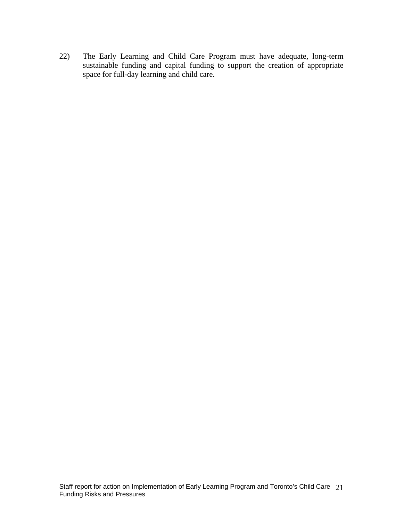22) The Early Learning and Child Care Program must have adequate, long-term sustainable funding and capital funding to support the creation of appropriate space for full-day learning and child care.